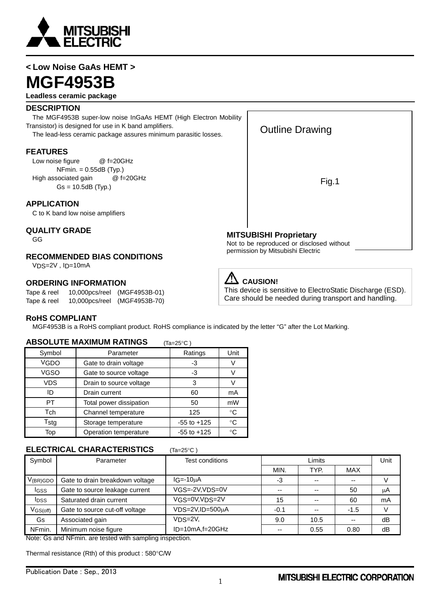

# **< Low Noise GaAs HEMT > MGF4953B**

#### **Leadless ceramic package**

#### **DESCRIPTION**

 The MGF4953B super-low noise InGaAs HEMT (High Electron Mobility Transistor) is designed for use in K band amplifiers. The lead-less ceramic package assures minimum parasitic losses.

**FEATURES**

Low noise figure @ f=20GHz NFmin. = 0.55dB (Typ.) High associated gain @ f=20GHz  $Gs = 10.5dB$  (Typ.)

### **APPLICATION**

C to K band low noise amplifiers

#### **QUALITY GRADE**

GG

### **RECOMMENDED BIAS CONDITIONS**

VDS=2V , ID=10mA

#### **ORDERING INFORMATION**

Tape & reel 10,000pcs/reel (MGF4953B-01) Tape & reel 10,000pcs/reel (MGF4953B-70)

# Outline Drawing

Fig.1

### **MITSUBISHI Proprietary**

Not to be reproduced or disclosed without permission by Mitsubishi Electric

# **EXAMPLE**

This device is sensitive to ElectroStatic Discharge (ESD). Care should be needed during transport and handling.

#### **RoHS COMPLIANT**

MGF4953B is a RoHS compliant product. RoHS compliance is indicated by the letter "G" after the Lot Marking.

#### **ABSOLUTE MAXIMUM RATINGS** (Ta=25°C)

| Symbol      | Parameter                     | Ratings         | Unit        |  |  |
|-------------|-------------------------------|-----------------|-------------|--|--|
| <b>VGDO</b> | Gate to drain voltage         | -3              | V           |  |  |
| <b>VGSO</b> | Gate to source voltage        |                 |             |  |  |
| <b>VDS</b>  | Drain to source voltage       | 3               |             |  |  |
| ID          | Drain current                 | 60              | mA          |  |  |
| PT          | Total power dissipation<br>50 |                 | mW          |  |  |
| Tch         | Channel temperature           | 125             | $^{\circ}C$ |  |  |
| Tstg        | Storage temperature           | $-55$ to $+125$ | $^{\circ}C$ |  |  |
| Top         | Operation temperature         | $-55$ to $+125$ | °C          |  |  |

#### **ELECTRICAL CHARACTERISTICS**

| Symbol                 | Parameter                       | Test conditions          | Limits        |      | Unit       |    |
|------------------------|---------------------------------|--------------------------|---------------|------|------------|----|
|                        |                                 |                          | MIN.          | TYP. | <b>MAX</b> |    |
| $V_{(BR)GDO}$          | Gate to drain breakdown voltage | $IG = -10uA$             | -3            |      | $- -$      |    |
| I <sub>GSS</sub>       | Gate to source leakage current  | $VGS = -2V$ , $VDS = 0V$ | $\sim$ $\sim$ |      | 50         | μA |
| I <sub>DSS</sub>       | Saturated drain current         | VGS=0V, VDS=2V           | 15            |      | 60         | mA |
| $V$ <sub>GS(off)</sub> | Gate to source cut-off voltage  | $VDS=2V$ , $ID=500\mu A$ | $-0.1$        | --   | $-1.5$     |    |
| Gs                     | Associated gain                 | VDS=2V,                  | 9.0           | 10.5 | --         | dB |
| NFmin.                 | Minimum noise figure            | $ID=10mA, f=20GHz$       | $- -$         | 0.55 | 0.80       | dB |

Note: Gs and NFmin. are tested with sampling inspection.

Thermal resistance (Rth) of this product : 580°C/W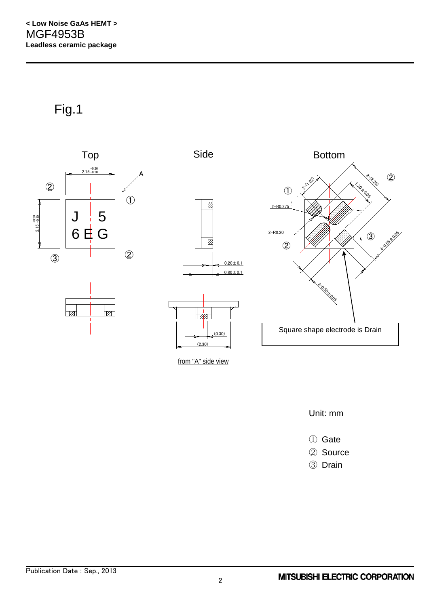Fig.1



from "A" side view

Unit: mm

① Gate

- ② Source
- ③ Drain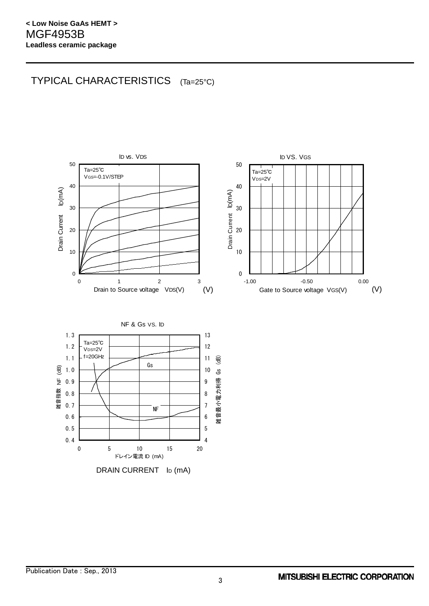# TYPICAL CHARACTERISTICS (Ta=25°C)



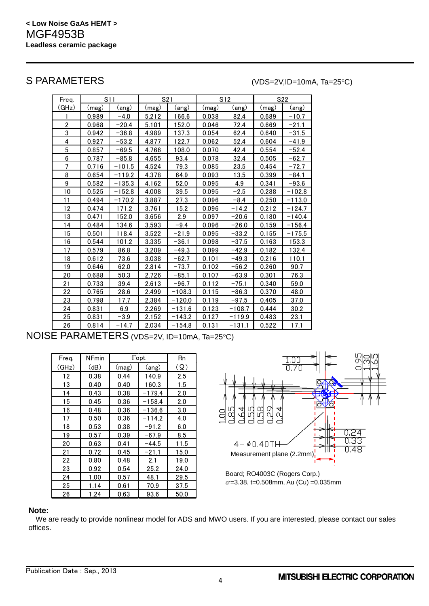## S PARAMETERS (VDS=2V,ID=10mA, Ta=25°C)

| Freq. |       | S11      |       | S <sub>21</sub> |       | S12      |       | S22      |
|-------|-------|----------|-------|-----------------|-------|----------|-------|----------|
| (GHz) | (mag) | (ang)    | (mag) | (ang)           | (mag) | (ang)    | (mag) | (ang)    |
|       | 0.989 | -4.0     | 5.212 | 166.6           | 0.038 | 82.4     | 0.689 | $-10.7$  |
| 2     | 0.968 | -20.4    | 5.101 | 152.0           | 0.046 | 72.4     | 0.669 | -21.1    |
| 3     | 0.942 | $-36.8$  | 4.989 | 137.3           | 0.054 | 62.4     | 0.640 | $-31.5$  |
| 4     | 0.927 | $-53.2$  | 4.877 | 122.7           | 0.062 | 52.4     | 0.604 | $-41.9$  |
| 5     | 0.857 | $-69.5$  | 4.766 | 108.0           | 0.070 | 42.4     | 0.554 | $-52.4$  |
| 6     | 0.787 | $-85.8$  | 4.655 | 93.4            | 0.078 | 32.4     | 0.505 | $-62.7$  |
| 7     | 0.716 | $-101.5$ | 4.524 | 79.3            | 0.085 | 23.5     | 0.454 | $-72.7$  |
| 8     | 0.654 | $-119.2$ | 4.378 | 64.9            | 0.093 | 13.5     | 0.399 | $-84.1$  |
| 9     | 0.582 | $-135.3$ | 4.162 | 52.0            | 0.095 | 4.9      | 0.341 | $-93.6$  |
| 10    | 0.525 | $-152.8$ | 4.008 | 39.5            | 0.095 | $-2.5$   | 0.288 | $-102.8$ |
| 11    | 0.494 | $-170.2$ | 3.887 | 27.3            | 0.096 | $-8.4$   | 0.250 | $-113.0$ |
| 12    | 0.474 | 171.2    | 3.761 | 15.2            | 0.096 | $-14.2$  | 0.212 | $-124.7$ |
| 13    | 0.471 | 152.0    | 3.656 | 2.9             | 0.097 | $-20.6$  | 0.180 | $-140.4$ |
| 14    | 0.484 | 134.6    | 3.593 | $-9.4$          | 0.096 | $-26.0$  | 0.159 | $-156.4$ |
| 15    | 0.501 | 118.4    | 3.522 | $-21.9$         | 0.095 | $-33.2$  | 0.155 | $-175.5$ |
| 16    | 0.544 | 101.2    | 3.335 | $-36.1$         | 0.098 | $-37.5$  | 0.163 | 153.3    |
| 17    | 0.579 | 86.8     | 3.209 | $-49.3$         | 0.099 | $-42.9$  | 0.182 | 132.4    |
| 18    | 0.612 | 73.6     | 3.038 | $-62.7$         | 0.101 | $-49.3$  | 0.216 | 110.1    |
| 19    | 0.646 | 62.0     | 2.814 | $-73.7$         | 0.102 | $-56.2$  | 0.260 | 90.7     |
| 20    | 0.688 | 50.3     | 2.726 | $-85.1$         | 0.107 | $-63.9$  | 0.301 | 76.3     |
| 21    | 0.733 | 39.4     | 2.613 | $-96.7$         | 0.112 | $-75.1$  | 0.340 | 59.0     |
| 22    | 0.765 | 28.6     | 2.499 | -108.3          | 0.115 | -86.3    | 0.370 | 48.0     |
| 23    | 0.798 | 17.7     | 2.384 | $-120.0$        | 0.119 | $-97.5$  | 0.405 | 37.0     |
| 24    | 0.831 | 6.9      | 2.269 | -131.6          | 0.123 | $-108.7$ | 0.444 | 30.2     |
| 25    | 0.831 | $-3.9$   | 2.152 | -143.2          | 0.127 | $-119.9$ | 0.483 | 23.1     |
| 26    | 0.814 | $-14.7$  | 2.034 | $-154.8$        | 0.131 | $-131.1$ | 0.522 | 17.1     |

NOISE PARAMETERS (VDS=2V, ID=10mA, Ta=25°C)

| Freq. | NFmin | $\Gamma$ opt | Rn       |            |
|-------|-------|--------------|----------|------------|
| (GHz) | (dB)  | (mag)        | (ang)    | $(\Omega)$ |
| 12    | 0.38  | 0.44         | 140.9    | 2.5        |
| 13    | 0.40  | 0.40         | 160.3    | 1.5        |
| 14    | 0.43  | 0.38         | $-179.4$ | 2.0        |
| 15    | 0.45  | 0.36         | $-158.4$ | 2.0        |
| 16    | 0.48  | 0.36         | $-136.6$ | 3.0        |
| 17    | 0.50  | 0.36         | $-114.2$ | 4.0        |
| 18    | 0.53  | 0.38         | $-91.2$  | 6.0        |
| 19    | 0.57  | 0.39         | $-67.9$  | 8.5        |
| 20    | 0.63  | 0.41         | -44.5    | 11.5       |
| 21    | 0.72  | 0.45         | $-21.1$  | 15.0       |
| 22    | 0.80  | 0.48         | 2.1      | 19.0       |
| 23    | 0.92  | 0.54         | 25.2     | 24.0       |
| 24    | 1.00  | 0.57         | 48.1     | 29.5       |
| 25    | 1.14  | 0.61         | 70.9     | 37.5       |
| 26    | 1.24  | 0.63         | 93.6     | 50.0       |



#### **Note:**

We are ready to provide nonlinear model for ADS and MWO users. If you are interested, please contact our sales offices.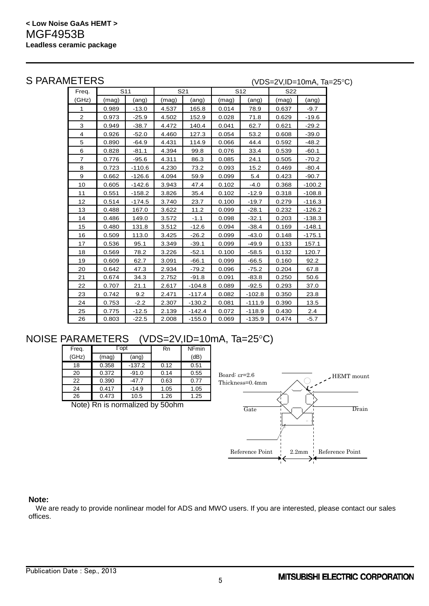S PARAMETERS (VDS=2V,ID=10mA, Ta=25°C)

| Freq.          |       | S <sub>11</sub> |       | S21      |       | S <sub>12</sub> | <b>S22</b> |          |
|----------------|-------|-----------------|-------|----------|-------|-----------------|------------|----------|
| (GHz)          | (mag) | (ang)           | (mag) | (ang)    | (mag) | (ang)           | (mag)      | (ang)    |
| 1              | 0.989 | $-13.0$         | 4.537 | 165.8    | 0.014 | 78.9            | 0.637      | $-9.7$   |
| $\overline{2}$ | 0.973 | $-25.9$         | 4.502 | 152.9    | 0.028 | 71.8            | 0.629      | $-19.6$  |
| 3              | 0.949 | $-38.7$         | 4.472 | 140.4    | 0.041 | 62.7            | 0.621      | $-29.2$  |
| 4              | 0.926 | $-52.0$         | 4.460 | 127.3    | 0.054 | 53.2            | 0.608      | $-39.0$  |
| 5              | 0.890 | $-64.9$         | 4.431 | 114.9    | 0.066 | 44.4            | 0.592      | $-48.2$  |
| 6              | 0.828 | $-81.1$         | 4.394 | 99.8     | 0.076 | 33.4            | 0.539      | $-60.1$  |
| $\overline{7}$ | 0.776 | $-95.6$         | 4.311 | 86.3     | 0.085 | 24.1            | 0.505      | $-70.2$  |
| 8              | 0.723 | $-110.6$        | 4.230 | 73.2     | 0.093 | 15.2            | 0.469      | $-80.4$  |
| 9              | 0.662 | $-126.6$        | 4.094 | 59.9     | 0.099 | 5.4             | 0.423      | $-90.7$  |
| 10             | 0.605 | $-142.6$        | 3.943 | 47.4     | 0.102 | $-4.0$          | 0.368      | $-100.2$ |
| 11             | 0.551 | $-158.2$        | 3.826 | 35.4     | 0.102 | $-12.9$         | 0.318      | $-108.8$ |
| 12             | 0.514 | $-174.5$        | 3.740 | 23.7     | 0.100 | $-19.7$         | 0.279      | $-116.3$ |
| 13             | 0.488 | 167.0           | 3.622 | 11.2     | 0.099 | $-28.1$         | 0.232      | $-126.2$ |
| 14             | 0.486 | 149.0           | 3.572 | $-1.1$   | 0.098 | $-32.1$         | 0.203      | $-138.3$ |
| 15             | 0.480 | 131.8           | 3.512 | $-12.6$  | 0.094 | $-38.4$         | 0.169      | $-148.1$ |
| 16             | 0.509 | 113.0           | 3.425 | $-26.2$  | 0.099 | $-43.0$         | 0.148      | $-175.1$ |
| 17             | 0.536 | 95.1            | 3.349 | $-39.1$  | 0.099 | $-49.9$         | 0.133      | 157.1    |
| 18             | 0.569 | 78.2            | 3.226 | $-52.1$  | 0.100 | $-58.5$         | 0.132      | 120.7    |
| 19             | 0.609 | 62.7            | 3.091 | $-66.1$  | 0.099 | $-66.5$         | 0.160      | 92.2     |
| 20             | 0.642 | 47.3            | 2.934 | $-79.2$  | 0.096 | $-75.2$         | 0.204      | 67.8     |
| 21             | 0.674 | 34.3            | 2.752 | $-91.8$  | 0.091 | $-83.8$         | 0.250      | 50.6     |
| 22             | 0.707 | 21.1            | 2.617 | $-104.8$ | 0.089 | $-92.5$         | 0.293      | 37.0     |
| 23             | 0.742 | 9.2             | 2.471 | $-117.4$ | 0.082 | $-102.8$        | 0.350      | 23.8     |
| 24             | 0.753 | $-2.2$          | 2.307 | $-130.2$ | 0.081 | $-111.9$        | 0.390      | 13.5     |
| 25             | 0.775 | $-12.5$         | 2.139 | $-142.4$ | 0.072 | $-118.9$        | 0.430      | 2.4      |
| 26             | 0.803 | $-22.5$         | 2.008 | $-155.0$ | 0.069 | $-135.9$        | 0.474      | $-5.7$   |

# NOISE PARAMETERS (VDS=2V,ID=10mA, Ta=25°C)

| Freq.                              |       | $\Gamma$ opt | Rn   | NFmin |  |  |  |
|------------------------------------|-------|--------------|------|-------|--|--|--|
| (GHz)                              | (mag) | (ang)        |      | (dB)  |  |  |  |
| 18                                 | 0.358 | $-137.2$     | 0.12 | 0.51  |  |  |  |
| 20                                 | 0.372 | $-91.0$      | 0.14 | 0.55  |  |  |  |
| 22                                 | 0.390 | $-47.7$      | 0.63 | 0.77  |  |  |  |
| 24                                 | 0.417 | $-14.9$      | 1.05 | 1.05  |  |  |  |
| 26                                 | 0.473 | 10.5         | 1.26 | 1.25  |  |  |  |
| Rn is normalized by 500hm<br>Note) |       |              |      |       |  |  |  |

Note) Rn is normalized by 50ohm



#### **Note:**

We are ready to provide nonlinear model for ADS and MWO users. If you are interested, please contact our sales offices.